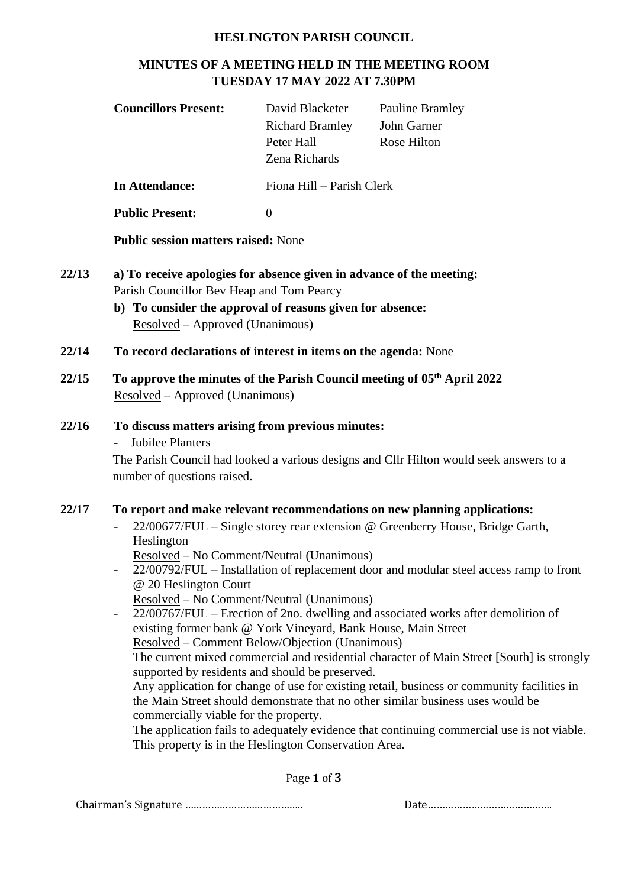#### **HESLINGTON PARISH COUNCIL**

# **MINUTES OF A MEETING HELD IN THE MEETING ROOM TUESDAY 17 MAY 2022 AT 7.30PM**

|                                                                                                                                                                                                                   | David Blacketer<br><b>Richard Bramley</b><br>Peter Hall<br>Zena Richards | <b>Pauline Bramley</b><br>John Garner<br>Rose Hilton                                    |
|-------------------------------------------------------------------------------------------------------------------------------------------------------------------------------------------------------------------|--------------------------------------------------------------------------|-----------------------------------------------------------------------------------------|
| <b>In Attendance:</b>                                                                                                                                                                                             | Fiona Hill - Parish Clerk                                                |                                                                                         |
| <b>Public Present:</b>                                                                                                                                                                                            | $\overline{0}$                                                           |                                                                                         |
| <b>Public session matters raised: None</b>                                                                                                                                                                        |                                                                          |                                                                                         |
| a) To receive apologies for absence given in advance of the meeting:<br>Parish Councillor Bev Heap and Tom Pearcy<br>b) To consider the approval of reasons given for absence:<br>Resolved – Approved (Unanimous) |                                                                          |                                                                                         |
| To record declarations of interest in items on the agenda: None                                                                                                                                                   |                                                                          |                                                                                         |
| Resolved – Approved (Unanimous)                                                                                                                                                                                   |                                                                          | To approve the minutes of the Parish Council meeting of 05 <sup>th</sup> April 2022     |
| To discuss matters arising from previous minutes:<br><b>Jubilee Planters</b><br>$\blacksquare$<br>number of questions raised.                                                                                     |                                                                          | The Parish Council had looked a various designs and Cllr Hilton would seek answers to a |
|                                                                                                                                                                                                                   |                                                                          |                                                                                         |

Page **1** of **3**

Chairman's Signature ………………………………….. Date…………………………………….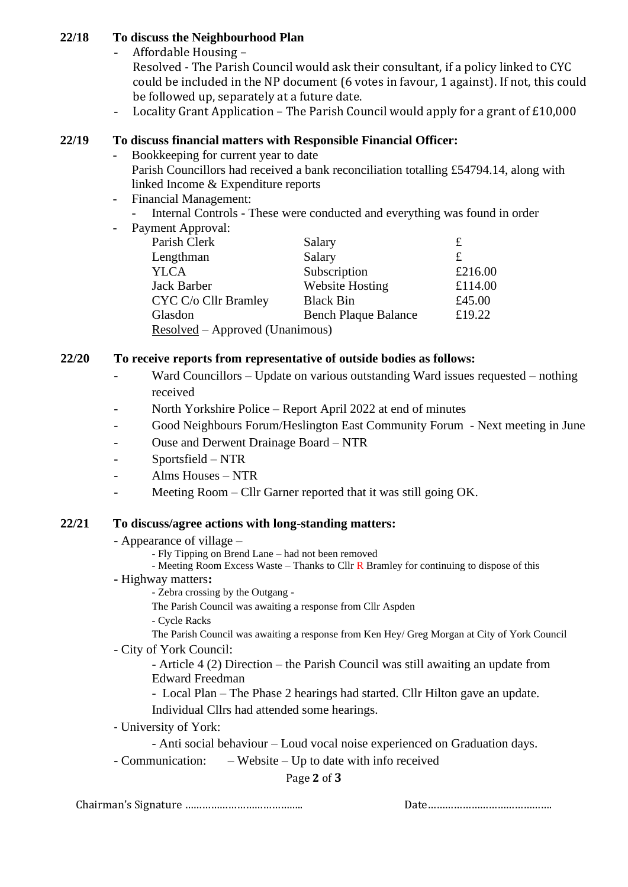### **22/18 To discuss the Neighbourhood Plan**

- Affordable Housing –

Resolved - The Parish Council would ask their consultant, if a policy linked to CYC could be included in the NP document (6 votes in favour, 1 against). If not, this could be followed up, separately at a future date.

- Locality Grant Application – The Parish Council would apply for a grant of £10,000

# **22/19 To discuss financial matters with Responsible Financial Officer:**

- Bookkeeping for current year to date Parish Councillors had received a bank reconciliation totalling £54794.14, along with linked Income & Expenditure reports
- Financial Management:
	- Internal Controls These were conducted and everything was found in order
- Payment Approval:

| $, \ldots$                      |                             |         |
|---------------------------------|-----------------------------|---------|
| Parish Clerk                    | Salary                      | £       |
| Lengthman                       | Salary                      | £       |
| <b>YLCA</b>                     | Subscription                | £216.00 |
| <b>Jack Barber</b>              | <b>Website Hosting</b>      | £114.00 |
| CYC C/o Cllr Bramley            | <b>Black Bin</b>            | £45.00  |
| Glasdon                         | <b>Bench Plaque Balance</b> | £19.22  |
| Resolved – Approved (Unanimous) |                             |         |
|                                 |                             |         |

# **22/20 To receive reports from representative of outside bodies as follows:**

- Ward Councillors Update on various outstanding Ward issues requested nothing received
- North Yorkshire Police Report April 2022 at end of minutes
- Good Neighbours Forum/Heslington East Community Forum Next meeting in June
- Ouse and Derwent Drainage Board NTR
- Sportsfield NTR
- Alms Houses NTR
- Meeting Room Cllr Garner reported that it was still going OK.

# **22/21 To discuss/agree actions with long-standing matters:**

- Appearance of village
	- Fly Tipping on Brend Lane had not been removed
	- Meeting Room Excess Waste Thanks to Cllr  $\bf{R}$  Bramley for continuing to dispose of this
- **-** Highway matters**:**

- Zebra crossing by the Outgang -

The Parish Council was awaiting a response from Cllr Aspden

- Cycle Racks

The Parish Council was awaiting a response from Ken Hey/ Greg Morgan at City of York Council - City of York Council:

- Article 4 (2) Direction – the Parish Council was still awaiting an update from Edward Freedman

- Local Plan – The Phase 2 hearings had started. Cllr Hilton gave an update. Individual Cllrs had attended some hearings.

- University of York:

- Anti social behaviour – Loud vocal noise experienced on Graduation days.

- Communication: – Website – Up to date with info received

Page **2** of **3**

Chairman's Signature ………………………………….. Date…………………………………….